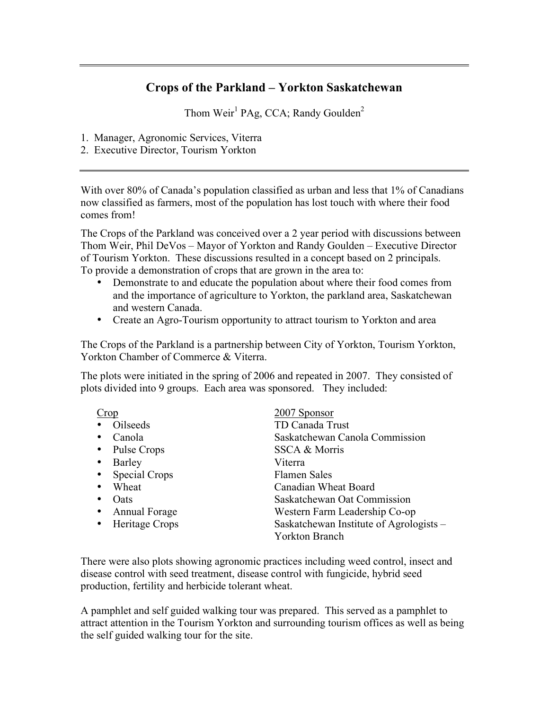## **Crops of the Parkland – Yorkton Saskatchewan**

Thom Weir<sup>1</sup> PAg, CCA; Randy Goulden<sup>2</sup>

- 1. Manager, Agronomic Services, Viterra
- 2. Executive Director, Tourism Yorkton

With over 80% of Canada's population classified as urban and less that 1% of Canadians now classified as farmers, most of the population has lost touch with where their food comes from!

The Crops of the Parkland was conceived over a 2 year period with discussions between Thom Weir, Phil DeVos – Mayor of Yorkton and Randy Goulden – Executive Director of Tourism Yorkton. These discussions resulted in a concept based on 2 principals. To provide a demonstration of crops that are grown in the area to:

- Demonstrate to and educate the population about where their food comes from and the importance of agriculture to Yorkton, the parkland area, Saskatchewan and western Canada.
- Create an Agro-Tourism opportunity to attract tourism to Yorkton and area

The Crops of the Parkland is a partnership between City of Yorkton, Tourism Yorkton, Yorkton Chamber of Commerce & Viterra.

The plots were initiated in the spring of 2006 and repeated in 2007. They consisted of plots divided into 9 groups. Each area was sponsored. They included:

| Crop                     | 2007 Sponsor                            |
|--------------------------|-----------------------------------------|
| Oilseeds                 | TD Canada Trust                         |
| Canola                   | Saskatchewan Canola Commission          |
| Pulse Crops<br>$\bullet$ | SSCA & Morris                           |
| Barley                   | Viterra                                 |
| <b>Special Crops</b>     | <b>Flamen Sales</b>                     |
| Wheat                    | Canadian Wheat Board                    |
| Oats<br>٠                | Saskatchewan Oat Commission             |
| <b>Annual Forage</b>     | Western Farm Leadership Co-op           |
| Heritage Crops           | Saskatchewan Institute of Agrologists – |
|                          | <b>Yorkton Branch</b>                   |

There were also plots showing agronomic practices including weed control, insect and disease control with seed treatment, disease control with fungicide, hybrid seed production, fertility and herbicide tolerant wheat.

A pamphlet and self guided walking tour was prepared. This served as a pamphlet to attract attention in the Tourism Yorkton and surrounding tourism offices as well as being the self guided walking tour for the site.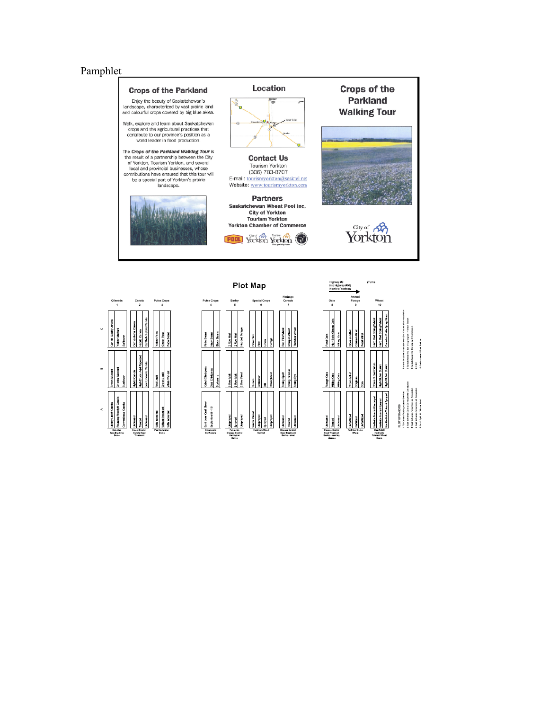## Pamphlet



|                                            | ×.                                      | $\infty$             | $\circ$                |                  |
|--------------------------------------------|-----------------------------------------|----------------------|------------------------|------------------|
|                                            | <b>THE CARD</b>                         | <b>MILDOWY</b><br>ă  | note Clinton           |                  |
| <b>Breaking Crop</b><br>Dates              | antyle Carvin<br>ă<br><b>Belevillen</b> | Musical              | ž<br>š<br>s            | Oliseads<br>٠    |
|                                            | Convention at Canata                    | Sunhowe              | <b>Soft care</b>       |                  |
|                                            |                                         |                      |                        |                  |
|                                            | Ě                                       | ybno Canota          | nvannonal Can de       |                  |
| Insect Control<br>Canada Smad<br>Transport |                                         | IghEncic Add Rapesed | ybrid Canda            | Canola<br>ż      |
|                                            |                                         | Linderic Canda       | Synthetic hybrid Claim |                  |
|                                            |                                         |                      |                        |                  |
|                                            | <b>DRAMATION</b>                        | Red Lent             | alow Free              |                  |
| Dama                                       | <b>TROCHER</b><br>Pas Nodulation        | an an<br>ē           | <b>Ciences</b> Perso   | Putsa Crops<br>Ś |
|                                            | hinocular                               | mervines<br>E        | Faba Baans             |                  |
|                                            |                                         |                      |                        |                  |